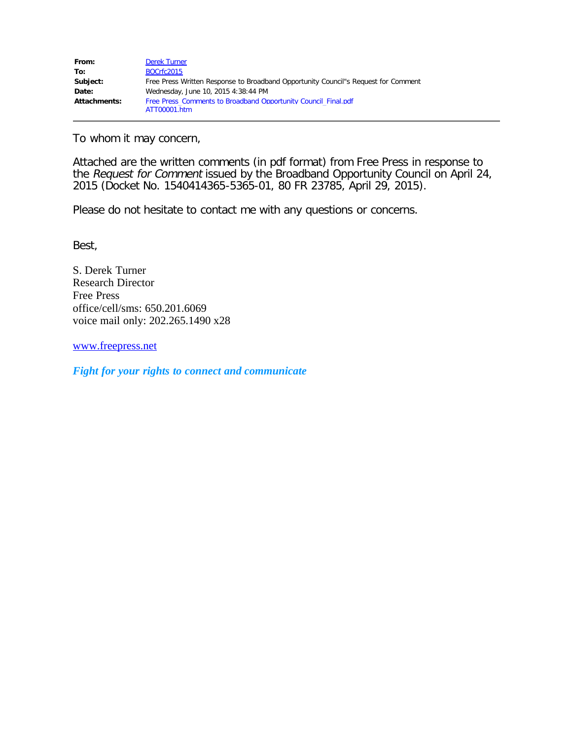| From:        | <b>Derek Turner</b>                                                                |
|--------------|------------------------------------------------------------------------------------|
| To:          | BOCrfc2015                                                                         |
| Subject:     | Free Press Written Response to Broadband Opportunity Council"s Request for Comment |
| Date:        | Wednesday, June 10, 2015 4:38:44 PM                                                |
| Attachments: | Free Press Comments to Broadband Opportunity Council Final.pdf                     |
|              | ATT00001.htm                                                                       |

To whom it may concern,

Attached are the written comments (in pdf format) from Free Press in response to the Request for Comment issued by the Broadband Opportunity Council on April 24, 2015 (Docket No. 1540414365-5365-01, 80 FR 23785, April 29, 2015).

Please do not hesitate to contact me with any questions or concerns.

Best,

S. Derek Turner Research Director Free Press office/cell/sms: 650.201.6069 voice mail only: 202.265.1490 x28

[www.freepress.net](http://www.freepress.net/)

*Fight for your rights to connect and communicate*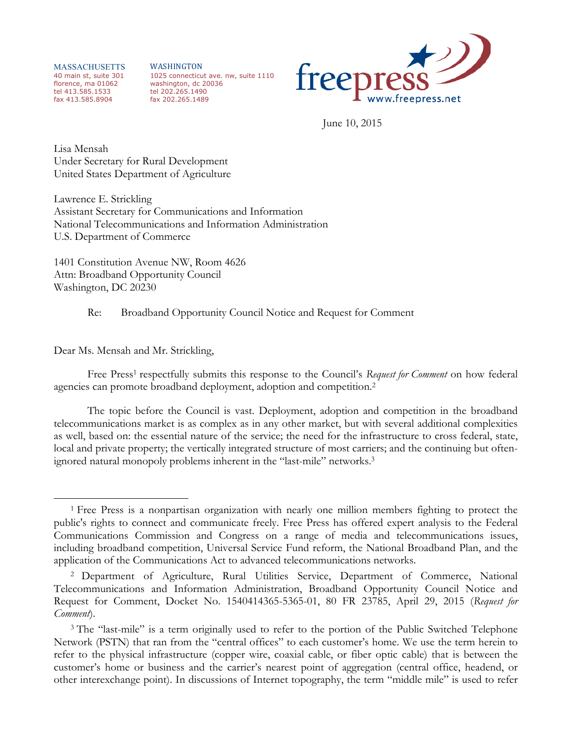MASSACHUSETTS 40 main st, suite 301 florence, ma 01062 tel 413.585.1533 fax 413.585.8904

WASHINGTON 1025 connecticut ave. nw, suite 1110 washington, dc 20036 tel 202.265.1490 fax 202.265.1489



June 10, 2015

Lisa Mensah Under Secretary for Rural Development United States Department of Agriculture

Lawrence E. Strickling Assistant Secretary for Communications and Information National Telecommunications and Information Administration U.S. Department of Commerce

1401 Constitution Avenue NW, Room 4626 Attn: Broadband Opportunity Council Washington, DC 20230

Re: Broadband Opportunity Council Notice and Request for Comment

Dear Ms. Mensah and Mr. Strickling,

 $\overline{a}$ 

Free Press<sup>1</sup> respectfully submits this response to the Council's *Request for Comment* on how federal agencies can promote broadband deployment, adoption and competition.2

The topic before the Council is vast. Deployment, adoption and competition in the broadband telecommunications market is as complex as in any other market, but with several additional complexities as well, based on: the essential nature of the service; the need for the infrastructure to cross federal, state, local and private property; the vertically integrated structure of most carriers; and the continuing but oftenignored natural monopoly problems inherent in the "last-mile" networks.3

<sup>1</sup> Free Press is a nonpartisan organization with nearly one million members fighting to protect the public's rights to connect and communicate freely. Free Press has offered expert analysis to the Federal Communications Commission and Congress on a range of media and telecommunications issues, including broadband competition, Universal Service Fund reform, the National Broadband Plan, and the application of the Communications Act to advanced telecommunications networks.

<sup>2</sup> Department of Agriculture, Rural Utilities Service, Department of Commerce, National Telecommunications and Information Administration, Broadband Opportunity Council Notice and Request for Comment, Docket No. 1540414365-5365-01, 80 FR 23785, April 29, 2015 (*Request for Comment*).

<sup>&</sup>lt;sup>3</sup> The "last-mile" is a term originally used to refer to the portion of the Public Switched Telephone Network (PSTN) that ran from the "central offices" to each customer's home. We use the term herein to refer to the physical infrastructure (copper wire, coaxial cable, or fiber optic cable) that is between the customer's home or business and the carrier's nearest point of aggregation (central office, headend, or other interexchange point). In discussions of Internet topography, the term "middle mile" is used to refer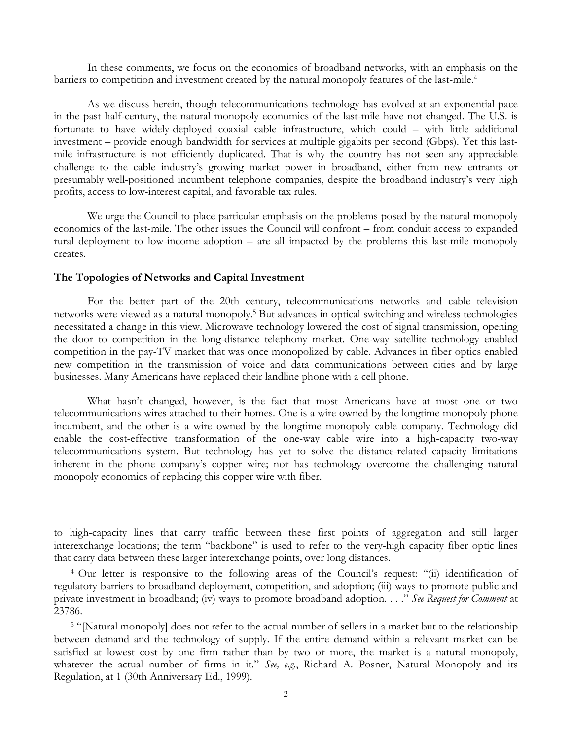In these comments, we focus on the economics of broadband networks, with an emphasis on the barriers to competition and investment created by the natural monopoly features of the last-mile.<sup>4</sup>

As we discuss herein, though telecommunications technology has evolved at an exponential pace in the past half-century, the natural monopoly economics of the last-mile have not changed. The U.S. is fortunate to have widely-deployed coaxial cable infrastructure, which could – with little additional investment – provide enough bandwidth for services at multiple gigabits per second (Gbps). Yet this lastmile infrastructure is not efficiently duplicated. That is why the country has not seen any appreciable challenge to the cable industry's growing market power in broadband, either from new entrants or presumably well-positioned incumbent telephone companies, despite the broadband industry's very high profits, access to low-interest capital, and favorable tax rules.

We urge the Council to place particular emphasis on the problems posed by the natural monopoly economics of the last-mile. The other issues the Council will confront – from conduit access to expanded rural deployment to low-income adoption – are all impacted by the problems this last-mile monopoly creates.

## **The Topologies of Networks and Capital Investment**

<u>.</u>

For the better part of the 20th century, telecommunications networks and cable television networks were viewed as a natural monopoly.5 But advances in optical switching and wireless technologies necessitated a change in this view. Microwave technology lowered the cost of signal transmission, opening the door to competition in the long-distance telephony market. One-way satellite technology enabled competition in the pay-TV market that was once monopolized by cable. Advances in fiber optics enabled new competition in the transmission of voice and data communications between cities and by large businesses. Many Americans have replaced their landline phone with a cell phone.

What hasn't changed, however, is the fact that most Americans have at most one or two telecommunications wires attached to their homes. One is a wire owned by the longtime monopoly phone incumbent, and the other is a wire owned by the longtime monopoly cable company. Technology did enable the cost-effective transformation of the one-way cable wire into a high-capacity two-way telecommunications system. But technology has yet to solve the distance-related capacity limitations inherent in the phone company's copper wire; nor has technology overcome the challenging natural monopoly economics of replacing this copper wire with fiber.

to high-capacity lines that carry traffic between these first points of aggregation and still larger interexchange locations; the term "backbone" is used to refer to the very-high capacity fiber optic lines that carry data between these larger interexchange points, over long distances.

<sup>4</sup> Our letter is responsive to the following areas of the Council's request: "(ii) identification of regulatory barriers to broadband deployment, competition, and adoption; (iii) ways to promote public and private investment in broadband; (iv) ways to promote broadband adoption. . . ." *See Request for Comment* at 23786.

<sup>5</sup> "[Natural monopoly] does not refer to the actual number of sellers in a market but to the relationship between demand and the technology of supply. If the entire demand within a relevant market can be satisfied at lowest cost by one firm rather than by two or more, the market is a natural monopoly, whatever the actual number of firms in it." *See, e.g.*, Richard A. Posner, Natural Monopoly and its Regulation, at 1 (30th Anniversary Ed., 1999).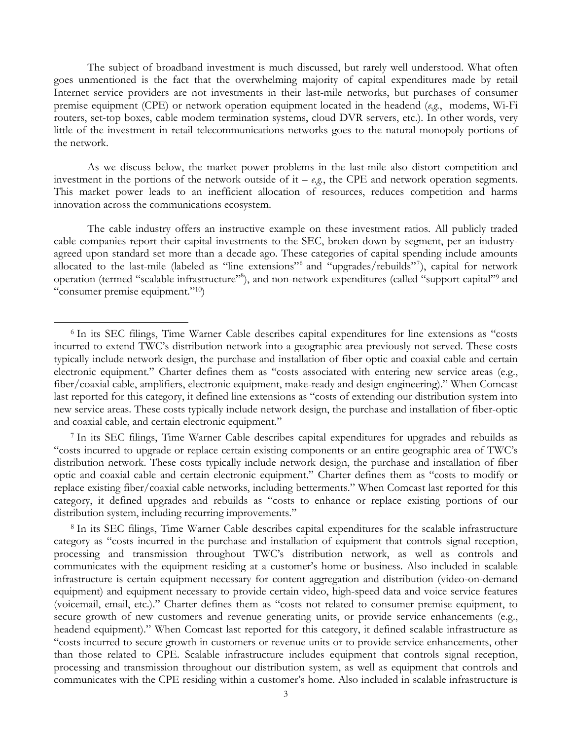The subject of broadband investment is much discussed, but rarely well understood. What often goes unmentioned is the fact that the overwhelming majority of capital expenditures made by retail Internet service providers are not investments in their last-mile networks, but purchases of consumer premise equipment (CPE) or network operation equipment located in the headend (*e.g.*, modems, Wi-Fi routers, set-top boxes, cable modem termination systems, cloud DVR servers, etc.). In other words, very little of the investment in retail telecommunications networks goes to the natural monopoly portions of the network.

As we discuss below, the market power problems in the last-mile also distort competition and investment in the portions of the network outside of it –  $e.g.,$  the CPE and network operation segments. This market power leads to an inefficient allocation of resources, reduces competition and harms innovation across the communications ecosystem.

The cable industry offers an instructive example on these investment ratios. All publicly traded cable companies report their capital investments to the SEC, broken down by segment, per an industryagreed upon standard set more than a decade ago. These categories of capital spending include amounts allocated to the last-mile (labeled as "line extensions"<sup>6</sup> and "upgrades/rebuilds"<sup>7</sup>), capital for network operation (termed "scalable infrastructure"<sup>8</sup>), and non-network expenditures (called "support capital"<sup>9</sup> and "consumer premise equipment."10)

 $\overline{a}$ 

<sup>7</sup> In its SEC filings, Time Warner Cable describes capital expenditures for upgrades and rebuilds as "costs incurred to upgrade or replace certain existing components or an entire geographic area of TWC's distribution network. These costs typically include network design, the purchase and installation of fiber optic and coaxial cable and certain electronic equipment." Charter defines them as "costs to modify or replace existing fiber/coaxial cable networks, including betterments." When Comcast last reported for this category, it defined upgrades and rebuilds as "costs to enhance or replace existing portions of our distribution system, including recurring improvements."

<sup>8</sup> In its SEC filings, Time Warner Cable describes capital expenditures for the scalable infrastructure category as "costs incurred in the purchase and installation of equipment that controls signal reception, processing and transmission throughout TWC's distribution network, as well as controls and communicates with the equipment residing at a customer's home or business. Also included in scalable infrastructure is certain equipment necessary for content aggregation and distribution (video-on-demand equipment) and equipment necessary to provide certain video, high-speed data and voice service features (voicemail, email, etc.)." Charter defines them as "costs not related to consumer premise equipment, to secure growth of new customers and revenue generating units, or provide service enhancements (e.g., headend equipment)." When Comcast last reported for this category, it defined scalable infrastructure as "costs incurred to secure growth in customers or revenue units or to provide service enhancements, other than those related to CPE. Scalable infrastructure includes equipment that controls signal reception, processing and transmission throughout our distribution system, as well as equipment that controls and communicates with the CPE residing within a customer's home. Also included in scalable infrastructure is

<sup>6</sup> In its SEC filings, Time Warner Cable describes capital expenditures for line extensions as "costs incurred to extend TWC's distribution network into a geographic area previously not served. These costs typically include network design, the purchase and installation of fiber optic and coaxial cable and certain electronic equipment." Charter defines them as "costs associated with entering new service areas (e.g., fiber/coaxial cable, amplifiers, electronic equipment, make-ready and design engineering)." When Comcast last reported for this category, it defined line extensions as "costs of extending our distribution system into new service areas. These costs typically include network design, the purchase and installation of fiber-optic and coaxial cable, and certain electronic equipment."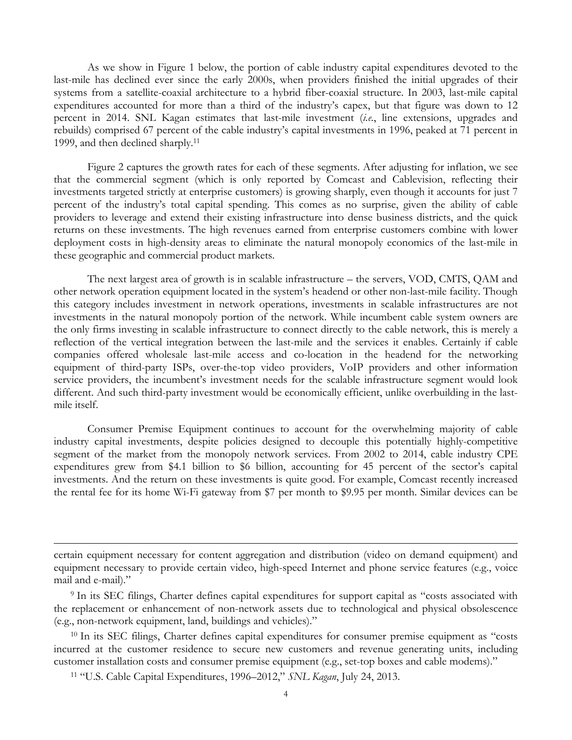As we show in Figure 1 below, the portion of cable industry capital expenditures devoted to the last-mile has declined ever since the early 2000s, when providers finished the initial upgrades of their systems from a satellite-coaxial architecture to a hybrid fiber-coaxial structure. In 2003, last-mile capital expenditures accounted for more than a third of the industry's capex, but that figure was down to 12 percent in 2014. SNL Kagan estimates that last-mile investment (*i.e.*, line extensions, upgrades and rebuilds) comprised 67 percent of the cable industry's capital investments in 1996, peaked at 71 percent in 1999, and then declined sharply.11

Figure 2 captures the growth rates for each of these segments. After adjusting for inflation, we see that the commercial segment (which is only reported by Comcast and Cablevision, reflecting their investments targeted strictly at enterprise customers) is growing sharply, even though it accounts for just 7 percent of the industry's total capital spending. This comes as no surprise, given the ability of cable providers to leverage and extend their existing infrastructure into dense business districts, and the quick returns on these investments. The high revenues earned from enterprise customers combine with lower deployment costs in high-density areas to eliminate the natural monopoly economics of the last-mile in these geographic and commercial product markets.

The next largest area of growth is in scalable infrastructure – the servers, VOD, CMTS, QAM and other network operation equipment located in the system's headend or other non-last-mile facility. Though this category includes investment in network operations, investments in scalable infrastructures are not investments in the natural monopoly portion of the network. While incumbent cable system owners are the only firms investing in scalable infrastructure to connect directly to the cable network, this is merely a reflection of the vertical integration between the last-mile and the services it enables. Certainly if cable companies offered wholesale last-mile access and co-location in the headend for the networking equipment of third-party ISPs, over-the-top video providers, VoIP providers and other information service providers, the incumbent's investment needs for the scalable infrastructure segment would look different. And such third-party investment would be economically efficient, unlike overbuilding in the lastmile itself.

Consumer Premise Equipment continues to account for the overwhelming majority of cable industry capital investments, despite policies designed to decouple this potentially highly-competitive segment of the market from the monopoly network services. From 2002 to 2014, cable industry CPE expenditures grew from \$4.1 billion to \$6 billion, accounting for 45 percent of the sector's capital investments. And the return on these investments is quite good. For example, Comcast recently increased the rental fee for its home Wi-Fi gateway from \$7 per month to \$9.95 per month. Similar devices can be

<u>.</u>

certain equipment necessary for content aggregation and distribution (video on demand equipment) and equipment necessary to provide certain video, high-speed Internet and phone service features (e.g., voice mail and e-mail)."

<sup>&</sup>lt;sup>9</sup> In its SEC filings, Charter defines capital expenditures for support capital as "costs associated with the replacement or enhancement of non-network assets due to technological and physical obsolescence (e.g., non-network equipment, land, buildings and vehicles)."

<sup>&</sup>lt;sup>10</sup> In its SEC filings, Charter defines capital expenditures for consumer premise equipment as "costs incurred at the customer residence to secure new customers and revenue generating units, including customer installation costs and consumer premise equipment (e.g., set-top boxes and cable modems)."

<sup>11</sup> "U.S. Cable Capital Expenditures, 1996–2012," *SNL Kagan*, July 24, 2013.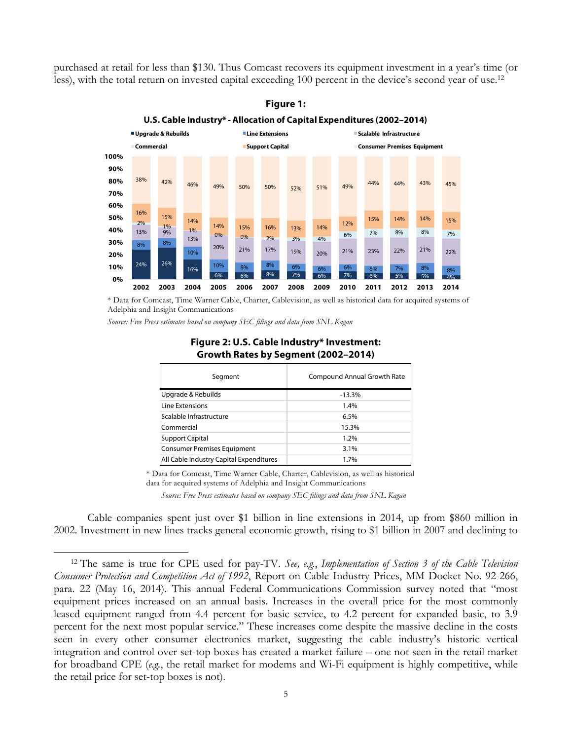purchased at retail for less than \$130. Thus Comcast recovers its equipment investment in a year's time (or less), with the total return on invested capital exceeding 100 percent in the device's second year of use.12





\* Data for Comcast, Time Warner Cable, Charter, Cablevision, as well as historical data for acquired systems of Adelphia and Insight Communications

*Source: Free Press estimates based on company SEC filings and data from SNL Kagan*

 $\overline{a}$ 

| Segment                                 | Compound Annual Growth Rate |
|-----------------------------------------|-----------------------------|
| Upgrade & Rebuilds                      | $-13.3%$                    |
| Line Extensions                         | 1.4%                        |
| Scalable Infrastructure                 | 6.5%                        |
| Commercial                              | 15.3%                       |
| <b>Support Capital</b>                  | 1.2%                        |
| <b>Consumer Premises Equipment</b>      | 3.1%                        |
| All Cable Industry Capital Expenditures | 1.7%                        |

# **Figure 2: U.S. Cable Industry\* Investment: U.S. Cable Industry\* Investment - Growth Rates by Segment (2002–2014) Growth Rates by Segment (2002–2014)**

\* Data for Comcast, Time Warner Cable, Charter, Cablevision, as well as historical data for acquired systems of Adelphia and Insight Communications

*Source: Free Press estimates based on company SEC filings and data from SNL Kagan*

Cable companies spent just over \$1 billion in line extensions in 2014, up from \$860 million in 2002. Investment in new lines tracks general economic growth, rising to \$1 billion in 2007 and declining to

<sup>12</sup> The same is true for CPE used for pay-TV. *See, e.g.*, *Implementation of Section 3 of the Cable Television Consumer Protection and Competition Act of 1992*, Report on Cable Industry Prices, MM Docket No. 92-266, para. 22 (May 16, 2014). This annual Federal Communications Commission survey noted that "most equipment prices increased on an annual basis. Increases in the overall price for the most commonly leased equipment ranged from 4.4 percent for basic service, to 4.2 percent for expanded basic, to 3.9 percent for the next most popular service." These increases come despite the massive decline in the costs seen in every other consumer electronics market, suggesting the cable industry's historic vertical integration and control over set-top boxes has created a market failure – one not seen in the retail market for broadband CPE (*e.g.*, the retail market for modems and Wi-Fi equipment is highly competitive, while the retail price for set-top boxes is not).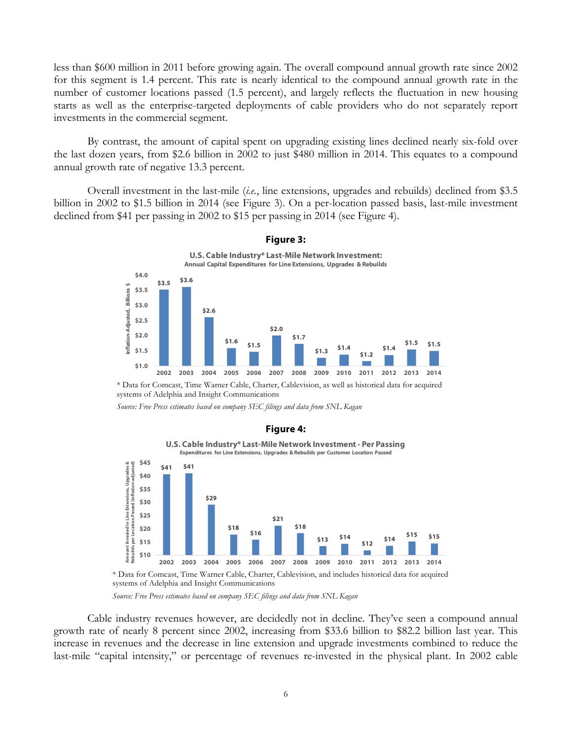less than \$600 million in 2011 before growing again. The overall compound annual growth rate since 2002 for this segment is 1.4 percent. This rate is nearly identical to the compound annual growth rate in the number of customer locations passed (1.5 percent), and largely reflects the fluctuation in new housing starts as well as the enterprise-targeted deployments of cable providers who do not separately report investments in the commercial segment.

By contrast, the amount of capital spent on upgrading existing lines declined nearly six-fold over the last dozen years, from \$2.6 billion in 2002 to just \$480 million in 2014. This equates to a compound annual growth rate of negative 13.3 percent.

Overall investment in the last-mile (*i.e.*, line extensions, upgrades and rebuilds) declined from \$3.5 billion in 2002 to \$1.5 billion in 2014 (see Figure 3). On a per-location passed basis, last-mile investment declined from \$41 per passing in 2002 to \$15 per passing in 2014 (see Figure 4).



#### **Figure 3:**

\* Data for Comcast, Time Warner Cable, Charter, Cablevision, as well as historical data for acquired systems of Adelphia and Insight Communications

*Source: Free Press estimates based on company SEC filings and data from SNL Kagan*



#### **Figure 4:**

\* Data for Comcast, Time Warner Cable, Charter, Cablevision, and includes historical data for acquired systems of Adelphia and Insight Communications

*Source: Free Press estimates based on company SEC filings and data from SNL Kagan*

Cable industry revenues however, are decidedly not in decline. They've seen a compound annual growth rate of nearly 8 percent since 2002, increasing from \$33.6 billion to \$82.2 billion last year. This increase in revenues and the decrease in line extension and upgrade investments combined to reduce the last-mile "capital intensity," or percentage of revenues re-invested in the physical plant. In 2002 cable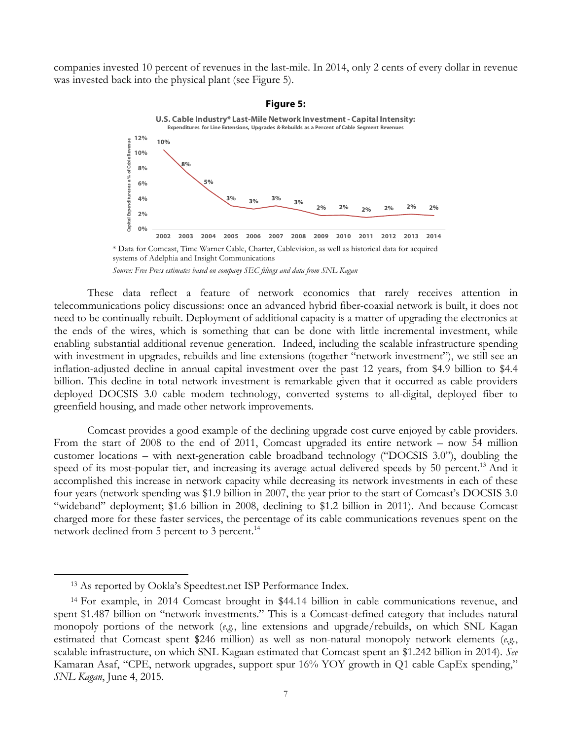companies invested 10 percent of revenues in the last-mile. In 2014, only 2 cents of every dollar in revenue was invested back into the physical plant (see Figure 5).



systems of Adelphia and Insight Communications

These data reflect a feature of network economics that rarely receives attention in telecommunications policy discussions: once an advanced hybrid fiber-coaxial network is built, it does not need to be continually rebuilt. Deployment of additional capacity is a matter of upgrading the electronics at the ends of the wires, which is something that can be done with little incremental investment, while enabling substantial additional revenue generation. Indeed, including the scalable infrastructure spending with investment in upgrades, rebuilds and line extensions (together "network investment"), we still see an inflation-adjusted decline in annual capital investment over the past 12 years, from \$4.9 billion to \$4.4 billion. This decline in total network investment is remarkable given that it occurred as cable providers deployed DOCSIS 3.0 cable modem technology, converted systems to all-digital, deployed fiber to greenfield housing, and made other network improvements.

Comcast provides a good example of the declining upgrade cost curve enjoyed by cable providers. From the start of 2008 to the end of 2011, Comcast upgraded its entire network – now 54 million customer locations – with next-generation cable broadband technology ("DOCSIS 3.0"), doubling the speed of its most-popular tier, and increasing its average actual delivered speeds by 50 percent.<sup>13</sup> And it accomplished this increase in network capacity while decreasing its network investments in each of these four years (network spending was \$1.9 billion in 2007, the year prior to the start of Comcast's DOCSIS 3.0 "wideband" deployment; \$1.6 billion in 2008, declining to \$1.2 billion in 2011). And because Comcast charged more for these faster services, the percentage of its cable communications revenues spent on the network declined from 5 percent to 3 percent.<sup>14</sup>

*Source: Free Press estimates based on company SEC filings and data from SNL Kagan*

<sup>13</sup> As reported by Ookla's Speedtest.net ISP Performance Index.

<sup>14</sup> For example, in 2014 Comcast brought in \$44.14 billion in cable communications revenue, and spent \$1.487 billion on "network investments." This is a Comcast-defined category that includes natural monopoly portions of the network (*e.g.*, line extensions and upgrade/rebuilds, on which SNL Kagan estimated that Comcast spent \$246 million) as well as non-natural monopoly network elements (*e.g.*, scalable infrastructure, on which SNL Kagaan estimated that Comcast spent an \$1.242 billion in 2014). *See* Kamaran Asaf, "CPE, network upgrades, support spur 16% YOY growth in Q1 cable CapEx spending," *SNL Kagan*, June 4, 2015.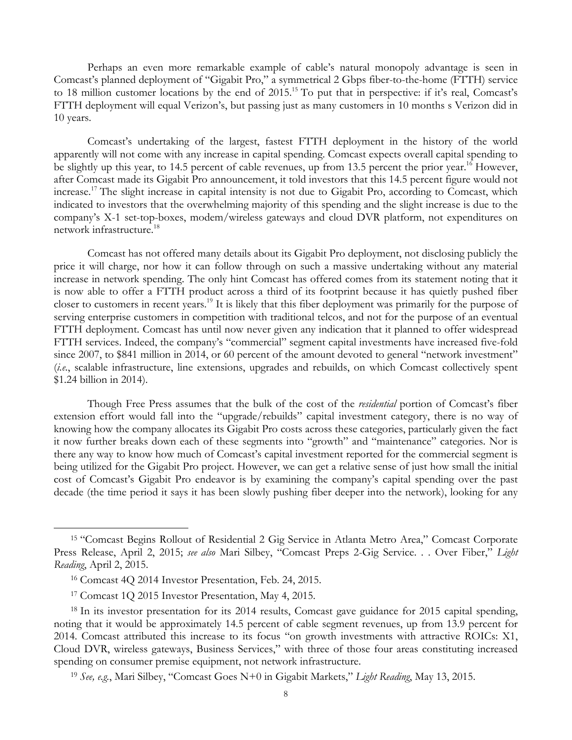Perhaps an even more remarkable example of cable's natural monopoly advantage is seen in Comcast's planned deployment of "Gigabit Pro," a symmetrical 2 Gbps fiber-to-the-home (FTTH) service to 18 million customer locations by the end of 2015.15 To put that in perspective: if it's real, Comcast's FTTH deployment will equal Verizon's, but passing just as many customers in 10 months s Verizon did in 10 years.

Comcast's undertaking of the largest, fastest FTTH deployment in the history of the world apparently will not come with any increase in capital spending. Comcast expects overall capital spending to be slightly up this year, to 14.5 percent of cable revenues, up from 13.5 percent the prior year.<sup>16</sup> However, after Comcast made its Gigabit Pro announcement, it told investors that this 14.5 percent figure would not increase.17 The slight increase in capital intensity is not due to Gigabit Pro, according to Comcast, which indicated to investors that the overwhelming majority of this spending and the slight increase is due to the company's X-1 set-top-boxes, modem/wireless gateways and cloud DVR platform, not expenditures on network infrastructure.<sup>18</sup>

Comcast has not offered many details about its Gigabit Pro deployment, not disclosing publicly the price it will charge, nor how it can follow through on such a massive undertaking without any material increase in network spending. The only hint Comcast has offered comes from its statement noting that it is now able to offer a FTTH product across a third of its footprint because it has quietly pushed fiber closer to customers in recent years.19 It is likely that this fiber deployment was primarily for the purpose of serving enterprise customers in competition with traditional telcos, and not for the purpose of an eventual FTTH deployment. Comcast has until now never given any indication that it planned to offer widespread FTTH services. Indeed, the company's "commercial" segment capital investments have increased five-fold since 2007, to \$841 million in 2014, or 60 percent of the amount devoted to general "network investment" (*i.e.*, scalable infrastructure, line extensions, upgrades and rebuilds, on which Comcast collectively spent \$1.24 billion in 2014).

Though Free Press assumes that the bulk of the cost of the *residential* portion of Comcast's fiber extension effort would fall into the "upgrade/rebuilds" capital investment category, there is no way of knowing how the company allocates its Gigabit Pro costs across these categories, particularly given the fact it now further breaks down each of these segments into "growth" and "maintenance" categories. Nor is there any way to know how much of Comcast's capital investment reported for the commercial segment is being utilized for the Gigabit Pro project. However, we can get a relative sense of just how small the initial cost of Comcast's Gigabit Pro endeavor is by examining the company's capital spending over the past decade (the time period it says it has been slowly pushing fiber deeper into the network), looking for any

<sup>15</sup> "Comcast Begins Rollout of Residential 2 Gig Service in Atlanta Metro Area," Comcast Corporate Press Release, April 2, 2015; *see also* Mari Silbey, "Comcast Preps 2-Gig Service. . . Over Fiber," *Light Reading*, April 2, 2015.

<sup>16</sup> Comcast 4Q 2014 Investor Presentation, Feb. 24, 2015.

<sup>17</sup> Comcast 1Q 2015 Investor Presentation, May 4, 2015.

<sup>&</sup>lt;sup>18</sup> In its investor presentation for its 2014 results, Comcast gave guidance for 2015 capital spending, noting that it would be approximately 14.5 percent of cable segment revenues, up from 13.9 percent for 2014. Comcast attributed this increase to its focus "on growth investments with attractive ROICs: X1, Cloud DVR, wireless gateways, Business Services," with three of those four areas constituting increased spending on consumer premise equipment, not network infrastructure.

<sup>19</sup> *See, e.g.*, Mari Silbey, "Comcast Goes N+0 in Gigabit Markets," *Light Reading*, May 13, 2015.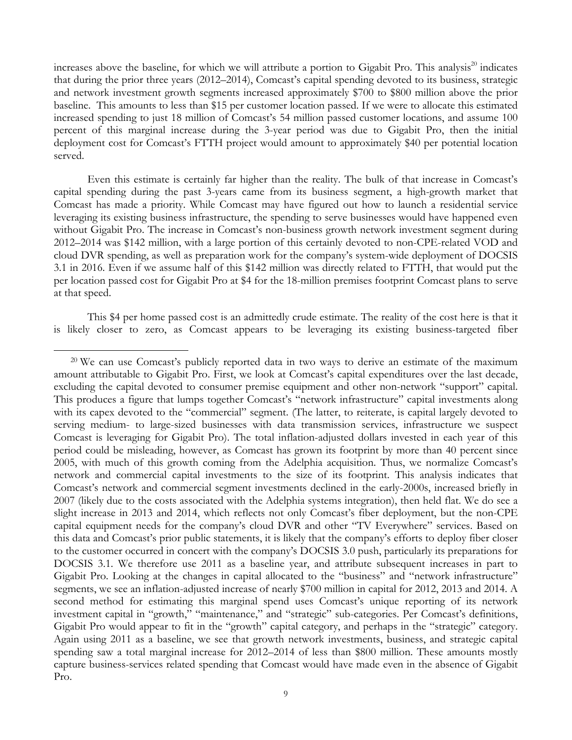increases above the baseline, for which we will attribute a portion to Gigabit Pro. This analysis<sup>20</sup> indicates that during the prior three years (2012–2014), Comcast's capital spending devoted to its business, strategic and network investment growth segments increased approximately \$700 to \$800 million above the prior baseline. This amounts to less than \$15 per customer location passed. If we were to allocate this estimated increased spending to just 18 million of Comcast's 54 million passed customer locations, and assume 100 percent of this marginal increase during the 3-year period was due to Gigabit Pro, then the initial deployment cost for Comcast's FTTH project would amount to approximately \$40 per potential location served.

Even this estimate is certainly far higher than the reality. The bulk of that increase in Comcast's capital spending during the past 3-years came from its business segment, a high-growth market that Comcast has made a priority. While Comcast may have figured out how to launch a residential service leveraging its existing business infrastructure, the spending to serve businesses would have happened even without Gigabit Pro. The increase in Comcast's non-business growth network investment segment during 2012–2014 was \$142 million, with a large portion of this certainly devoted to non-CPE-related VOD and cloud DVR spending, as well as preparation work for the company's system-wide deployment of DOCSIS 3.1 in 2016. Even if we assume half of this \$142 million was directly related to FTTH, that would put the per location passed cost for Gigabit Pro at \$4 for the 18-million premises footprint Comcast plans to serve at that speed.

This \$4 per home passed cost is an admittedly crude estimate. The reality of the cost here is that it is likely closer to zero, as Comcast appears to be leveraging its existing business-targeted fiber

<sup>&</sup>lt;sup>20</sup> We can use Comcast's publicly reported data in two ways to derive an estimate of the maximum amount attributable to Gigabit Pro. First, we look at Comcast's capital expenditures over the last decade, excluding the capital devoted to consumer premise equipment and other non-network "support" capital. This produces a figure that lumps together Comcast's "network infrastructure" capital investments along with its capex devoted to the "commercial" segment. (The latter, to reiterate, is capital largely devoted to serving medium- to large-sized businesses with data transmission services, infrastructure we suspect Comcast is leveraging for Gigabit Pro). The total inflation-adjusted dollars invested in each year of this period could be misleading, however, as Comcast has grown its footprint by more than 40 percent since 2005, with much of this growth coming from the Adelphia acquisition. Thus, we normalize Comcast's network and commercial capital investments to the size of its footprint. This analysis indicates that Comcast's network and commercial segment investments declined in the early-2000s, increased briefly in 2007 (likely due to the costs associated with the Adelphia systems integration), then held flat. We do see a slight increase in 2013 and 2014, which reflects not only Comcast's fiber deployment, but the non-CPE capital equipment needs for the company's cloud DVR and other "TV Everywhere" services. Based on this data and Comcast's prior public statements, it is likely that the company's efforts to deploy fiber closer to the customer occurred in concert with the company's DOCSIS 3.0 push, particularly its preparations for DOCSIS 3.1. We therefore use 2011 as a baseline year, and attribute subsequent increases in part to Gigabit Pro. Looking at the changes in capital allocated to the "business" and "network infrastructure" segments, we see an inflation-adjusted increase of nearly \$700 million in capital for 2012, 2013 and 2014. A second method for estimating this marginal spend uses Comcast's unique reporting of its network investment capital in "growth," "maintenance," and "strategic" sub-categories. Per Comcast's definitions, Gigabit Pro would appear to fit in the "growth" capital category, and perhaps in the "strategic" category. Again using 2011 as a baseline, we see that growth network investments, business, and strategic capital spending saw a total marginal increase for 2012–2014 of less than \$800 million. These amounts mostly capture business-services related spending that Comcast would have made even in the absence of Gigabit Pro.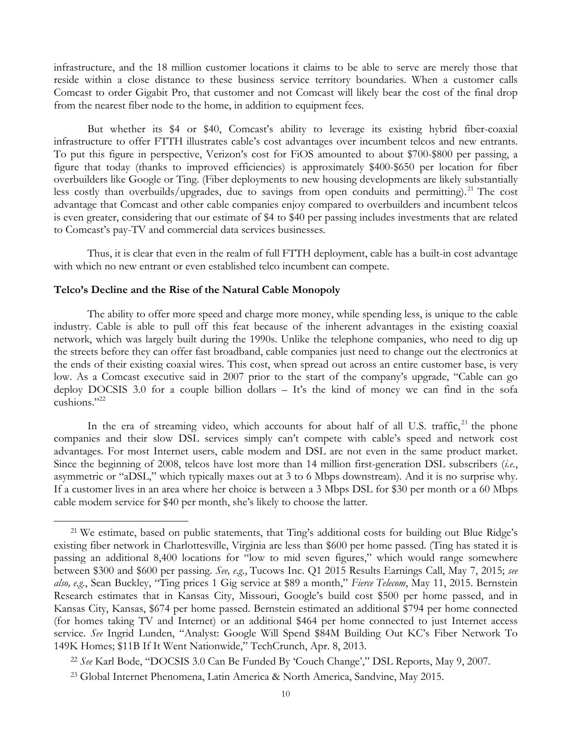infrastructure, and the 18 million customer locations it claims to be able to serve are merely those that reside within a close distance to these business service territory boundaries. When a customer calls Comcast to order Gigabit Pro, that customer and not Comcast will likely bear the cost of the final drop from the nearest fiber node to the home, in addition to equipment fees.

But whether its \$4 or \$40, Comcast's ability to leverage its existing hybrid fiber-coaxial infrastructure to offer FTTH illustrates cable's cost advantages over incumbent telcos and new entrants. To put this figure in perspective, Verizon's cost for FiOS amounted to about \$700-\$800 per passing, a figure that today (thanks to improved efficiencies) is approximately \$400-\$650 per location for fiber overbuilders like Google or Ting. (Fiber deployments to new housing developments are likely substantially less costly than overbuilds/upgrades, due to savings from open conduits and permitting).<sup>21</sup> The cost advantage that Comcast and other cable companies enjoy compared to overbuilders and incumbent telcos is even greater, considering that our estimate of \$4 to \$40 per passing includes investments that are related to Comcast's pay-TV and commercial data services businesses.

Thus, it is clear that even in the realm of full FTTH deployment, cable has a built-in cost advantage with which no new entrant or even established telco incumbent can compete.

#### **Telco's Decline and the Rise of the Natural Cable Monopoly**

 $\overline{a}$ 

The ability to offer more speed and charge more money, while spending less, is unique to the cable industry. Cable is able to pull off this feat because of the inherent advantages in the existing coaxial network, which was largely built during the 1990s. Unlike the telephone companies, who need to dig up the streets before they can offer fast broadband, cable companies just need to change out the electronics at the ends of their existing coaxial wires. This cost, when spread out across an entire customer base, is very low. As a Comcast executive said in 2007 prior to the start of the company's upgrade, "Cable can go deploy DOCSIS 3.0 for a couple billion dollars – It's the kind of money we can find in the sofa cushions."<sup>22</sup>

In the era of streaming video, which accounts for about half of all U.S. traffic, $^{23}$  the phone companies and their slow DSL services simply can't compete with cable's speed and network cost advantages. For most Internet users, cable modem and DSL are not even in the same product market. Since the beginning of 2008, telcos have lost more than 14 million first-generation DSL subscribers (*i.e.*, asymmetric or "aDSL," which typically maxes out at 3 to 6 Mbps downstream). And it is no surprise why. If a customer lives in an area where her choice is between a 3 Mbps DSL for \$30 per month or a 60 Mbps cable modem service for \$40 per month, she's likely to choose the latter.

<sup>&</sup>lt;sup>21</sup> We estimate, based on public statements, that Ting's additional costs for building out Blue Ridge's existing fiber network in Charlottesville, Virginia are less than \$600 per home passed. (Ting has stated it is passing an additional 8,400 locations for "low to mid seven figures," which would range somewhere between \$300 and \$600 per passing. *See, e.g.*, Tucows Inc. Q1 2015 Results Earnings Call, May 7, 2015; *see also, e.g.*, Sean Buckley, "Ting prices 1 Gig service at \$89 a month," *Fierce Telecom*, May 11, 2015. Bernstein Research estimates that in Kansas City, Missouri, Google's build cost \$500 per home passed, and in Kansas City, Kansas, \$674 per home passed. Bernstein estimated an additional \$794 per home connected (for homes taking TV and Internet) or an additional \$464 per home connected to just Internet access service. *See* Ingrid Lunden, "Analyst: Google Will Spend \$84M Building Out KC's Fiber Network To 149K Homes; \$11B If It Went Nationwide," TechCrunch, Apr. 8, 2013.

<sup>22</sup> *See* Karl Bode, "DOCSIS 3.0 Can Be Funded By 'Couch Change'," DSL Reports, May 9, 2007.

<sup>23</sup> Global Internet Phenomena, Latin America & North America, Sandvine, May 2015.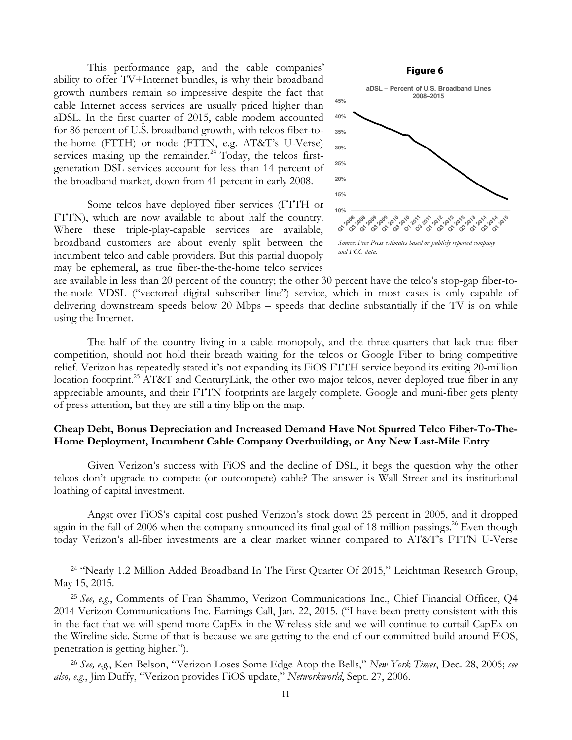This performance gap, and the cable companies' ability to offer TV+Internet bundles, is why their broadband growth numbers remain so impressive despite the fact that cable Internet access services are usually priced higher than aDSL. In the first quarter of 2015, cable modem accounted for 86 percent of U.S. broadband growth, with telcos fiber-tothe-home (FTTH) or node (FTTN, e.g. AT&T's U-Verse) services making up the remainder.<sup>24</sup> Today, the telcos firstgeneration DSL services account for less than 14 percent of the broadband market, down from 41 percent in early 2008.

Some telcos have deployed fiber services (FTTH or FTTN), which are now available to about half the country. Where these triple-play-capable services are available, broadband customers are about evenly split between the incumbent telco and cable providers. But this partial duopoly may be ephemeral, as true fiber-the-the-home telco services

 $\overline{a}$ 



are available in less than 20 percent of the country; the other 30 percent have the telco's stop-gap fiber-tothe-node VDSL ("vectored digital subscriber line") service, which in most cases is only capable of delivering downstream speeds below 20 Mbps – speeds that decline substantially if the TV is on while using the Internet.

The half of the country living in a cable monopoly, and the three-quarters that lack true fiber competition, should not hold their breath waiting for the telcos or Google Fiber to bring competitive relief. Verizon has repeatedly stated it's not expanding its FiOS FTTH service beyond its exiting 20-million location footprint.<sup>25</sup> AT&T and CenturyLink, the other two major telcos, never deployed true fiber in any appreciable amounts, and their FTTN footprints are largely complete. Google and muni-fiber gets plenty of press attention, but they are still a tiny blip on the map.

## **Cheap Debt, Bonus Depreciation and Increased Demand Have Not Spurred Telco Fiber-To-The-Home Deployment, Incumbent Cable Company Overbuilding, or Any New Last-Mile Entry**

Given Verizon's success with FiOS and the decline of DSL, it begs the question why the other telcos don't upgrade to compete (or outcompete) cable? The answer is Wall Street and its institutional loathing of capital investment.

Angst over FiOS's capital cost pushed Verizon's stock down 25 percent in 2005, and it dropped again in the fall of 2006 when the company announced its final goal of 18 million passings.<sup>26</sup> Even though today Verizon's all-fiber investments are a clear market winner compared to AT&T's FTTN U-Verse

<sup>&</sup>lt;sup>24</sup> "Nearly 1.2 Million Added Broadband In The First Quarter Of 2015," Leichtman Research Group, May 15, 2015.

<sup>25</sup> *See, e.g.*, Comments of Fran Shammo, Verizon Communications Inc., Chief Financial Officer, Q4 2014 Verizon Communications Inc. Earnings Call, Jan. 22, 2015. ("I have been pretty consistent with this in the fact that we will spend more CapEx in the Wireless side and we will continue to curtail CapEx on the Wireline side. Some of that is because we are getting to the end of our committed build around FiOS, penetration is getting higher.").

<sup>26</sup> *See, e.g.*, Ken Belson, "Verizon Loses Some Edge Atop the Bells," *New York Times*, Dec. 28, 2005; *see also, e.g.*, Jim Duffy, "Verizon provides FiOS update," *Networkworld*, Sept. 27, 2006.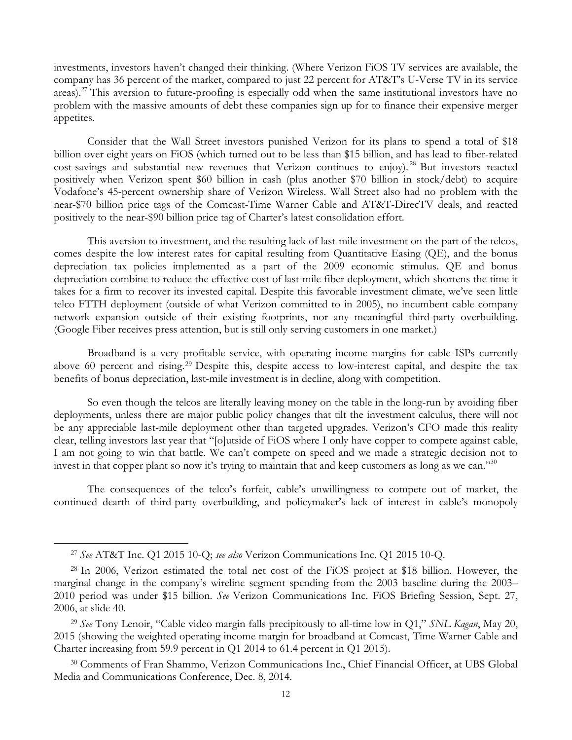investments, investors haven't changed their thinking. (Where Verizon FiOS TV services are available, the company has 36 percent of the market, compared to just 22 percent for AT&T's U-Verse TV in its service areas).<sup>27</sup> This aversion to future-proofing is especially odd when the same institutional investors have no problem with the massive amounts of debt these companies sign up for to finance their expensive merger appetites.

Consider that the Wall Street investors punished Verizon for its plans to spend a total of \$18 billion over eight years on FiOS (which turned out to be less than \$15 billion, and has lead to fiber-related cost-savings and substantial new revenues that Verizon continues to enjoy).<sup>28</sup> But investors reacted positively when Verizon spent \$60 billion in cash (plus another \$70 billion in stock/debt) to acquire Vodafone's 45-percent ownership share of Verizon Wireless. Wall Street also had no problem with the near-\$70 billion price tags of the Comcast-Time Warner Cable and AT&T-DirecTV deals, and reacted positively to the near-\$90 billion price tag of Charter's latest consolidation effort.

This aversion to investment, and the resulting lack of last-mile investment on the part of the telcos, comes despite the low interest rates for capital resulting from Quantitative Easing (QE), and the bonus depreciation tax policies implemented as a part of the 2009 economic stimulus. QE and bonus depreciation combine to reduce the effective cost of last-mile fiber deployment, which shortens the time it takes for a firm to recover its invested capital. Despite this favorable investment climate, we've seen little telco FTTH deployment (outside of what Verizon committed to in 2005), no incumbent cable company network expansion outside of their existing footprints, nor any meaningful third-party overbuilding. (Google Fiber receives press attention, but is still only serving customers in one market.)

Broadband is a very profitable service, with operating income margins for cable ISPs currently above 60 percent and rising.29 Despite this, despite access to low-interest capital, and despite the tax benefits of bonus depreciation, last-mile investment is in decline, along with competition.

So even though the telcos are literally leaving money on the table in the long-run by avoiding fiber deployments, unless there are major public policy changes that tilt the investment calculus, there will not be any appreciable last-mile deployment other than targeted upgrades. Verizon's CFO made this reality clear, telling investors last year that "[o]utside of FiOS where I only have copper to compete against cable, I am not going to win that battle. We can't compete on speed and we made a strategic decision not to invest in that copper plant so now it's trying to maintain that and keep customers as long as we can."<sup>30</sup>

The consequences of the telco's forfeit, cable's unwillingness to compete out of market, the continued dearth of third-party overbuilding, and policymaker's lack of interest in cable's monopoly

<sup>27</sup> *See* AT&T Inc. Q1 2015 10-Q; *see also* Verizon Communications Inc. Q1 2015 10-Q.

<sup>28</sup> In 2006, Verizon estimated the total net cost of the FiOS project at \$18 billion. However, the marginal change in the company's wireline segment spending from the 2003 baseline during the 2003– 2010 period was under \$15 billion. *See* Verizon Communications Inc. FiOS Briefing Session, Sept. 27, 2006, at slide 40.

<sup>29</sup> *See* Tony Lenoir, "Cable video margin falls precipitously to all-time low in Q1," *SNL Kagan*, May 20, 2015 (showing the weighted operating income margin for broadband at Comcast, Time Warner Cable and Charter increasing from 59.9 percent in Q1 2014 to 61.4 percent in Q1 2015).

<sup>30</sup> Comments of Fran Shammo, Verizon Communications Inc., Chief Financial Officer, at UBS Global Media and Communications Conference, Dec. 8, 2014.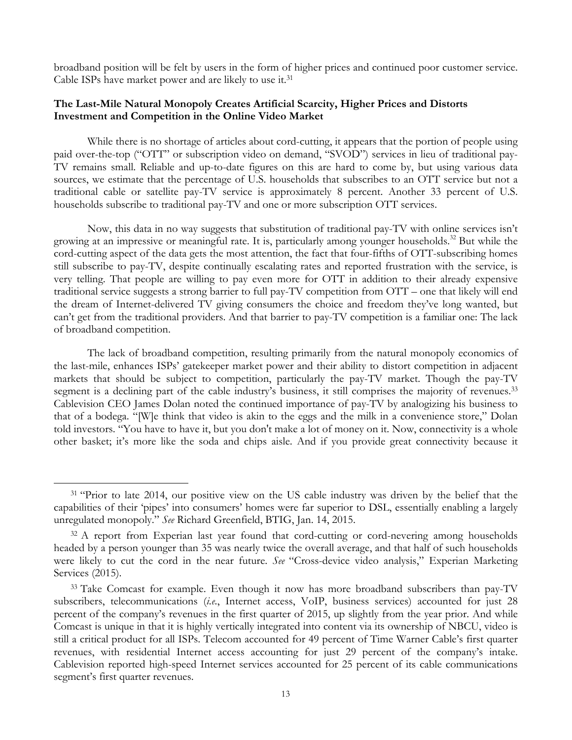broadband position will be felt by users in the form of higher prices and continued poor customer service. Cable ISPs have market power and are likely to use it.31

# **The Last-Mile Natural Monopoly Creates Artificial Scarcity, Higher Prices and Distorts Investment and Competition in the Online Video Market**

While there is no shortage of articles about cord-cutting, it appears that the portion of people using paid over-the-top ("OTT" or subscription video on demand, "SVOD") services in lieu of traditional pay-TV remains small. Reliable and up-to-date figures on this are hard to come by, but using various data sources, we estimate that the percentage of U.S. households that subscribes to an OTT service but not a traditional cable or satellite pay-TV service is approximately 8 percent. Another 33 percent of U.S. households subscribe to traditional pay-TV and one or more subscription OTT services.

Now, this data in no way suggests that substitution of traditional pay-TV with online services isn't growing at an impressive or meaningful rate. It is, particularly among younger households.<sup>32</sup> But while the cord-cutting aspect of the data gets the most attention, the fact that four-fifths of OTT-subscribing homes still subscribe to pay-TV, despite continually escalating rates and reported frustration with the service, is very telling. That people are willing to pay even more for OTT in addition to their already expensive traditional service suggests a strong barrier to full pay-TV competition from OTT – one that likely will end the dream of Internet-delivered TV giving consumers the choice and freedom they've long wanted, but can't get from the traditional providers. And that barrier to pay-TV competition is a familiar one: The lack of broadband competition.

The lack of broadband competition, resulting primarily from the natural monopoly economics of the last-mile, enhances ISPs' gatekeeper market power and their ability to distort competition in adjacent markets that should be subject to competition, particularly the pay-TV market. Though the pay-TV segment is a declining part of the cable industry's business, it still comprises the majority of revenues.<sup>33</sup> Cablevision CEO James Dolan noted the continued importance of pay-TV by analogizing his business to that of a bodega. "[W]e think that video is akin to the eggs and the milk in a convenience store," Dolan told investors. "You have to have it, but you don't make a lot of money on it. Now, connectivity is a whole other basket; it's more like the soda and chips aisle. And if you provide great connectivity because it

<sup>&</sup>lt;sup>31</sup> "Prior to late 2014, our positive view on the US cable industry was driven by the belief that the capabilities of their 'pipes' into consumers' homes were far superior to DSL, essentially enabling a largely unregulated monopoly." *See* Richard Greenfield, BTIG, Jan. 14, 2015.

<sup>&</sup>lt;sup>32</sup> A report from Experian last year found that cord-cutting or cord-nevering among households headed by a person younger than 35 was nearly twice the overall average, and that half of such households were likely to cut the cord in the near future. *See* "Cross-device video analysis," Experian Marketing Services (2015).

<sup>&</sup>lt;sup>33</sup> Take Comcast for example. Even though it now has more broadband subscribers than pay-TV subscribers, telecommunications (*i.e.*, Internet access, VoIP, business services) accounted for just 28 percent of the company's revenues in the first quarter of 2015, up slightly from the year prior. And while Comcast is unique in that it is highly vertically integrated into content via its ownership of NBCU, video is still a critical product for all ISPs. Telecom accounted for 49 percent of Time Warner Cable's first quarter revenues, with residential Internet access accounting for just 29 percent of the company's intake. Cablevision reported high-speed Internet services accounted for 25 percent of its cable communications segment's first quarter revenues.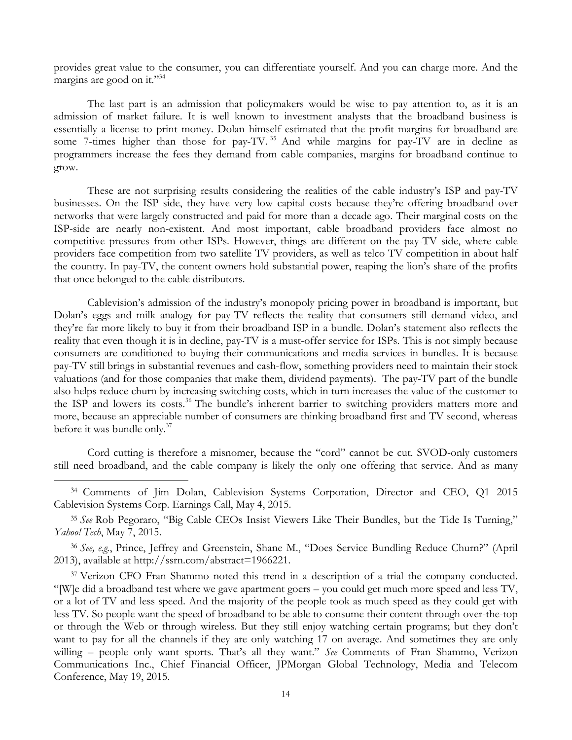provides great value to the consumer, you can differentiate yourself. And you can charge more. And the margins are good on it."<sup>34</sup>

The last part is an admission that policymakers would be wise to pay attention to, as it is an admission of market failure. It is well known to investment analysts that the broadband business is essentially a license to print money. Dolan himself estimated that the profit margins for broadband are some 7-times higher than those for pay-TV.<sup>35</sup> And while margins for pay-TV are in decline as programmers increase the fees they demand from cable companies, margins for broadband continue to grow.

These are not surprising results considering the realities of the cable industry's ISP and pay-TV businesses. On the ISP side, they have very low capital costs because they're offering broadband over networks that were largely constructed and paid for more than a decade ago. Their marginal costs on the ISP-side are nearly non-existent. And most important, cable broadband providers face almost no competitive pressures from other ISPs. However, things are different on the pay-TV side, where cable providers face competition from two satellite TV providers, as well as telco TV competition in about half the country. In pay-TV, the content owners hold substantial power, reaping the lion's share of the profits that once belonged to the cable distributors.

Cablevision's admission of the industry's monopoly pricing power in broadband is important, but Dolan's eggs and milk analogy for pay-TV reflects the reality that consumers still demand video, and they're far more likely to buy it from their broadband ISP in a bundle. Dolan's statement also reflects the reality that even though it is in decline, pay-TV is a must-offer service for ISPs. This is not simply because consumers are conditioned to buying their communications and media services in bundles. It is because pay-TV still brings in substantial revenues and cash-flow, something providers need to maintain their stock valuations (and for those companies that make them, dividend payments). The pay-TV part of the bundle also helps reduce churn by increasing switching costs, which in turn increases the value of the customer to the ISP and lowers its costs.<sup>36</sup> The bundle's inherent barrier to switching providers matters more and more, because an appreciable number of consumers are thinking broadband first and TV second, whereas before it was bundle only.<sup>37</sup>

Cord cutting is therefore a misnomer, because the "cord" cannot be cut. SVOD-only customers still need broadband, and the cable company is likely the only one offering that service. And as many

 $\overline{a}$ 

<sup>35</sup> *See* Rob Pegoraro, "Big Cable CEOs Insist Viewers Like Their Bundles, but the Tide Is Turning," *Yahoo! Tech*, May 7, 2015.

<sup>36</sup> *See, e.g.*, Prince, Jeffrey and Greenstein, Shane M., "Does Service Bundling Reduce Churn?" (April 2013), available at http://ssrn.com/abstract=1966221.

<sup>37</sup> Verizon CFO Fran Shammo noted this trend in a description of a trial the company conducted. "[W]e did a broadband test where we gave apartment goers – you could get much more speed and less TV, or a lot of TV and less speed. And the majority of the people took as much speed as they could get with less TV. So people want the speed of broadband to be able to consume their content through over-the-top or through the Web or through wireless. But they still enjoy watching certain programs; but they don't want to pay for all the channels if they are only watching 17 on average. And sometimes they are only willing – people only want sports. That's all they want." *See* Comments of Fran Shammo, Verizon Communications Inc., Chief Financial Officer, JPMorgan Global Technology, Media and Telecom Conference, May 19, 2015.

<sup>34</sup> Comments of Jim Dolan, Cablevision Systems Corporation, Director and CEO, Q1 2015 Cablevision Systems Corp. Earnings Call, May 4, 2015.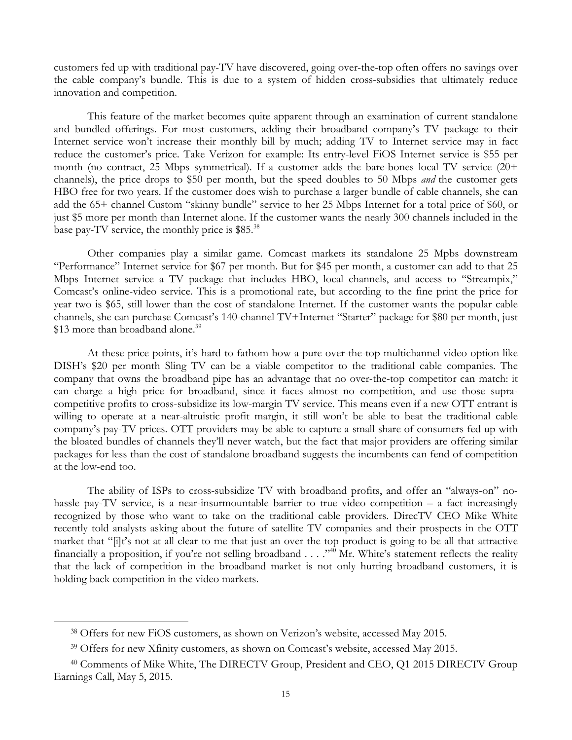customers fed up with traditional pay-TV have discovered, going over-the-top often offers no savings over the cable company's bundle. This is due to a system of hidden cross-subsidies that ultimately reduce innovation and competition.

This feature of the market becomes quite apparent through an examination of current standalone and bundled offerings. For most customers, adding their broadband company's TV package to their Internet service won't increase their monthly bill by much; adding TV to Internet service may in fact reduce the customer's price. Take Verizon for example: Its entry-level FiOS Internet service is \$55 per month (no contract, 25 Mbps symmetrical). If a customer adds the bare-bones local TV service (20+ channels), the price drops to \$50 per month, but the speed doubles to 50 Mbps *and* the customer gets HBO free for two years. If the customer does wish to purchase a larger bundle of cable channels, she can add the 65+ channel Custom "skinny bundle" service to her 25 Mbps Internet for a total price of \$60, or just \$5 more per month than Internet alone. If the customer wants the nearly 300 channels included in the base pay-TV service, the monthly price is \$85.38

Other companies play a similar game. Comcast markets its standalone 25 Mpbs downstream "Performance" Internet service for \$67 per month. But for \$45 per month, a customer can add to that 25 Mbps Internet service a TV package that includes HBO, local channels, and access to "Streampix," Comcast's online-video service. This is a promotional rate, but according to the fine print the price for year two is \$65, still lower than the cost of standalone Internet. If the customer wants the popular cable channels, she can purchase Comcast's 140-channel TV+Internet "Starter" package for \$80 per month, just \$13 more than broadband alone.<sup>39</sup>

At these price points, it's hard to fathom how a pure over-the-top multichannel video option like DISH's \$20 per month Sling TV can be a viable competitor to the traditional cable companies. The company that owns the broadband pipe has an advantage that no over-the-top competitor can match: it can charge a high price for broadband, since it faces almost no competition, and use those supracompetitive profits to cross-subsidize its low-margin TV service. This means even if a new OTT entrant is willing to operate at a near-altruistic profit margin, it still won't be able to beat the traditional cable company's pay-TV prices. OTT providers may be able to capture a small share of consumers fed up with the bloated bundles of channels they'll never watch, but the fact that major providers are offering similar packages for less than the cost of standalone broadband suggests the incumbents can fend of competition at the low-end too.

The ability of ISPs to cross-subsidize TV with broadband profits, and offer an "always-on" nohassle pay-TV service, is a near-insurmountable barrier to true video competition – a fact increasingly recognized by those who want to take on the traditional cable providers. DirecTV CEO Mike White recently told analysts asking about the future of satellite TV companies and their prospects in the OTT market that "[i]t's not at all clear to me that just an over the top product is going to be all that attractive financially a proposition, if you're not selling broadband  $\dots$ ."<sup>40</sup> Mr. White's statement reflects the reality that the lack of competition in the broadband market is not only hurting broadband customers, it is holding back competition in the video markets.

<sup>38</sup> Offers for new FiOS customers, as shown on Verizon's website, accessed May 2015.

<sup>39</sup> Offers for new Xfinity customers, as shown on Comcast's website, accessed May 2015.

<sup>40</sup> Comments of Mike White, The DIRECTV Group, President and CEO, Q1 2015 DIRECTV Group Earnings Call, May 5, 2015.